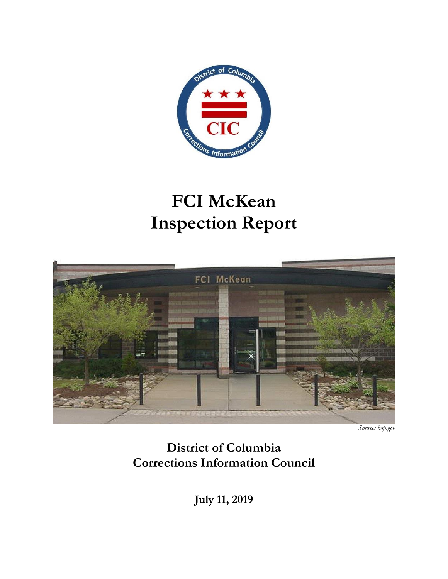

# **FCI McKean Inspection Report**



*Source: bop.gov* 

**District of Columbia Corrections Information Council**

**July 11, 2019**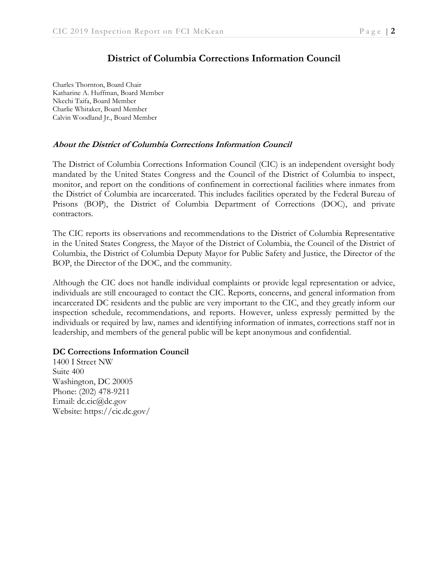### **District of Columbia Corrections Information Council**

Charles Thornton, Board Chair Katharine A. Huffman, Board Member Nkechi Taifa, Board Member Charlie Whitaker, Board Member Calvin Woodland Jr., Board Member

#### **About the District of Columbia Corrections Information Council**

The District of Columbia Corrections Information Council (CIC) is an independent oversight body mandated by the United States Congress and the Council of the District of Columbia to inspect, monitor, and report on the conditions of confinement in correctional facilities where inmates from the District of Columbia are incarcerated. This includes facilities operated by the Federal Bureau of Prisons (BOP), the District of Columbia Department of Corrections (DOC), and private contractors.

The CIC reports its observations and recommendations to the District of Columbia Representative in the United States Congress, the Mayor of the District of Columbia, the Council of the District of Columbia, the District of Columbia Deputy Mayor for Public Safety and Justice, the Director of the BOP, the Director of the DOC, and the community.

Although the CIC does not handle individual complaints or provide legal representation or advice, individuals are still encouraged to contact the CIC. Reports, concerns, and general information from incarcerated DC residents and the public are very important to the CIC, and they greatly inform our inspection schedule, recommendations, and reports. However, unless expressly permitted by the individuals or required by law, names and identifying information of inmates, corrections staff not in leadership, and members of the general public will be kept anonymous and confidential.

#### **DC Corrections Information Council**

1400 I Street NW Suite 400 Washington, DC 20005 Phone: (202) 478-9211 Email: dc.cic@dc.gov Website: https://cic.dc.gov/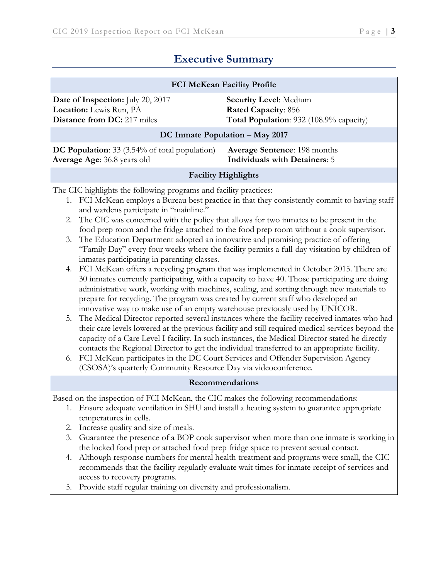# **Executive Summary**

| <b>FCI McKean Facility Profile</b>                                                                                                                                                                                                                                                                                                                                                                                                                                                                                                                                                                                                                                                                                                                                                                                                                                                                                                                                                                                                  |                                                                                                                                                                                                                                                                                                                                                                                                                                                                                                                                                                                                                                           |                                                                                                        |  |  |  |  |
|-------------------------------------------------------------------------------------------------------------------------------------------------------------------------------------------------------------------------------------------------------------------------------------------------------------------------------------------------------------------------------------------------------------------------------------------------------------------------------------------------------------------------------------------------------------------------------------------------------------------------------------------------------------------------------------------------------------------------------------------------------------------------------------------------------------------------------------------------------------------------------------------------------------------------------------------------------------------------------------------------------------------------------------|-------------------------------------------------------------------------------------------------------------------------------------------------------------------------------------------------------------------------------------------------------------------------------------------------------------------------------------------------------------------------------------------------------------------------------------------------------------------------------------------------------------------------------------------------------------------------------------------------------------------------------------------|--------------------------------------------------------------------------------------------------------|--|--|--|--|
| Date of Inspection: July 20, 2017<br>Location: Lewis Run, PA<br><b>Distance from DC:</b> 217 miles                                                                                                                                                                                                                                                                                                                                                                                                                                                                                                                                                                                                                                                                                                                                                                                                                                                                                                                                  |                                                                                                                                                                                                                                                                                                                                                                                                                                                                                                                                                                                                                                           | <b>Security Level: Medium</b><br><b>Rated Capacity: 856</b><br>Total Population: 932 (108.9% capacity) |  |  |  |  |
| DC Inmate Population - May 2017                                                                                                                                                                                                                                                                                                                                                                                                                                                                                                                                                                                                                                                                                                                                                                                                                                                                                                                                                                                                     |                                                                                                                                                                                                                                                                                                                                                                                                                                                                                                                                                                                                                                           |                                                                                                        |  |  |  |  |
| <b>DC Population:</b> 33 (3.54% of total population)<br><b>Average Sentence: 198 months</b><br><b>Individuals with Detainers: 5</b><br>Average Age: 36.8 years old                                                                                                                                                                                                                                                                                                                                                                                                                                                                                                                                                                                                                                                                                                                                                                                                                                                                  |                                                                                                                                                                                                                                                                                                                                                                                                                                                                                                                                                                                                                                           |                                                                                                        |  |  |  |  |
|                                                                                                                                                                                                                                                                                                                                                                                                                                                                                                                                                                                                                                                                                                                                                                                                                                                                                                                                                                                                                                     |                                                                                                                                                                                                                                                                                                                                                                                                                                                                                                                                                                                                                                           | <b>Facility Highlights</b>                                                                             |  |  |  |  |
| The CIC highlights the following programs and facility practices:<br>1. FCI McKean employs a Bureau best practice in that they consistently commit to having staff<br>and wardens participate in "mainline."<br>The CIC was concerned with the policy that allows for two inmates to be present in the<br>2.<br>food prep room and the fridge attached to the food prep room without a cook supervisor.<br>The Education Department adopted an innovative and promising practice of offering<br>3.<br>"Family Day" every four weeks where the facility permits a full-day visitation by children of<br>inmates participating in parenting classes.<br>FCI McKean offers a recycling program that was implemented in October 2015. There are<br>4.<br>30 inmates currently participating, with a capacity to have 40. Those participating are doing<br>administrative work, working with machines, scaling, and sorting through new materials to<br>prepare for recycling. The program was created by current staff who developed an |                                                                                                                                                                                                                                                                                                                                                                                                                                                                                                                                                                                                                                           |                                                                                                        |  |  |  |  |
| 5.<br>6.                                                                                                                                                                                                                                                                                                                                                                                                                                                                                                                                                                                                                                                                                                                                                                                                                                                                                                                                                                                                                            | innovative way to make use of an empty warehouse previously used by UNICOR.<br>The Medical Director reported several instances where the facility received inmates who had<br>their care levels lowered at the previous facility and still required medical services beyond the<br>capacity of a Care Level I facility. In such instances, the Medical Director stated he directly<br>contacts the Regional Director to get the individual transferred to an appropriate facility.<br>FCI McKean participates in the DC Court Services and Offender Supervision Agency<br>(CSOSA)'s quarterly Community Resource Day via videoconference. |                                                                                                        |  |  |  |  |
|                                                                                                                                                                                                                                                                                                                                                                                                                                                                                                                                                                                                                                                                                                                                                                                                                                                                                                                                                                                                                                     |                                                                                                                                                                                                                                                                                                                                                                                                                                                                                                                                                                                                                                           | Recommendations                                                                                        |  |  |  |  |
|                                                                                                                                                                                                                                                                                                                                                                                                                                                                                                                                                                                                                                                                                                                                                                                                                                                                                                                                                                                                                                     | Based on the inspection of FCI McKean, the CIC makes the following recommendations:                                                                                                                                                                                                                                                                                                                                                                                                                                                                                                                                                       |                                                                                                        |  |  |  |  |
|                                                                                                                                                                                                                                                                                                                                                                                                                                                                                                                                                                                                                                                                                                                                                                                                                                                                                                                                                                                                                                     |                                                                                                                                                                                                                                                                                                                                                                                                                                                                                                                                                                                                                                           | 1. Ensure adequate ventilation in SHU and install a heating system to guarantee appropriate            |  |  |  |  |
| 2.                                                                                                                                                                                                                                                                                                                                                                                                                                                                                                                                                                                                                                                                                                                                                                                                                                                                                                                                                                                                                                  | temperatures in cells.<br>Increase quality and size of meals.                                                                                                                                                                                                                                                                                                                                                                                                                                                                                                                                                                             |                                                                                                        |  |  |  |  |
| 3.                                                                                                                                                                                                                                                                                                                                                                                                                                                                                                                                                                                                                                                                                                                                                                                                                                                                                                                                                                                                                                  | Guarantee the presence of a BOP cook supervisor when more than one inmate is working in                                                                                                                                                                                                                                                                                                                                                                                                                                                                                                                                                   |                                                                                                        |  |  |  |  |
|                                                                                                                                                                                                                                                                                                                                                                                                                                                                                                                                                                                                                                                                                                                                                                                                                                                                                                                                                                                                                                     | the locked food prep or attached food prep fridge space to prevent sexual contact.                                                                                                                                                                                                                                                                                                                                                                                                                                                                                                                                                        |                                                                                                        |  |  |  |  |
| 4.                                                                                                                                                                                                                                                                                                                                                                                                                                                                                                                                                                                                                                                                                                                                                                                                                                                                                                                                                                                                                                  | Although response numbers for mental health treatment and programs were small, the CIC<br>recommends that the facility regularly evaluate wait times for inmate receipt of services and<br>access to recovery programs.                                                                                                                                                                                                                                                                                                                                                                                                                   |                                                                                                        |  |  |  |  |
| 5.                                                                                                                                                                                                                                                                                                                                                                                                                                                                                                                                                                                                                                                                                                                                                                                                                                                                                                                                                                                                                                  | Provide staff regular training on diversity and professionalism.                                                                                                                                                                                                                                                                                                                                                                                                                                                                                                                                                                          |                                                                                                        |  |  |  |  |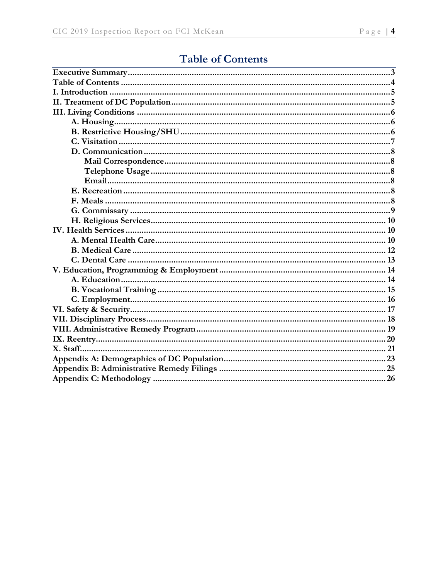# **Table of Contents**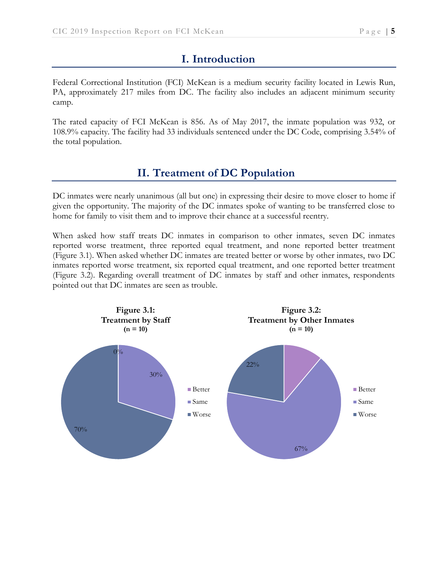# **I. Introduction**

Federal Correctional Institution (FCI) McKean is a medium security facility located in Lewis Run, PA, approximately 217 miles from DC. The facility also includes an adjacent minimum security camp.

The rated capacity of FCI McKean is 856. As of May 2017, the inmate population was 932, or 108.9% capacity. The facility had 33 individuals sentenced under the DC Code, comprising 3.54% of the total population.

# **II. Treatment of DC Population**

DC inmates were nearly unanimous (all but one) in expressing their desire to move closer to home if given the opportunity. The majority of the DC inmates spoke of wanting to be transferred close to home for family to visit them and to improve their chance at a successful reentry.

When asked how staff treats DC inmates in comparison to other inmates, seven DC inmates reported worse treatment, three reported equal treatment, and none reported better treatment (Figure 3.1). When asked whether DC inmates are treated better or worse by other inmates, two DC inmates reported worse treatment, six reported equal treatment, and one reported better treatment (Figure 3.2). Regarding overall treatment of DC inmates by staff and other inmates, respondents pointed out that DC inmates are seen as trouble.

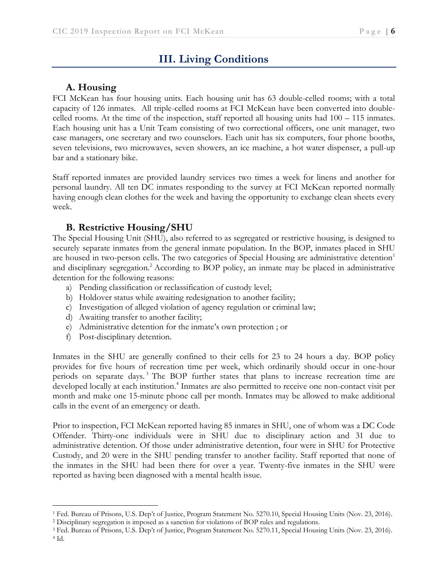# **III. Living Conditions**

### **A. Housing**

FCI McKean has four housing units. Each housing unit has 63 double-celled rooms; with a total capacity of 126 inmates. All triple-celled rooms at FCI McKean have been converted into doublecelled rooms. At the time of the inspection, staff reported all housing units had 100 – 115 inmates. Each housing unit has a Unit Team consisting of two correctional officers, one unit manager, two case managers, one secretary and two counselors. Each unit has six computers, four phone booths, seven televisions, two microwaves, seven showers, an ice machine, a hot water dispenser, a pull-up bar and a stationary bike.

Staff reported inmates are provided laundry services two times a week for linens and another for personal laundry. All ten DC inmates responding to the survey at FCI McKean reported normally having enough clean clothes for the week and having the opportunity to exchange clean sheets every week.

### **B. Restrictive Housing/SHU**

The Special Housing Unit (SHU), also referred to as segregated or restrictive housing, is designed to securely separate inmates from the general inmate population. In the BOP, inmates placed in SHU are housed in two-person cells. The two categories of Special Housing are administrative detention<sup>1</sup> and disciplinary segregation.<sup>2</sup> According to BOP policy, an inmate may be placed in administrative detention for the following reasons:

- a) Pending classification or reclassification of custody level;
- b) Holdover status while awaiting redesignation to another facility;
- c) Investigation of alleged violation of agency regulation or criminal law;
- d) Awaiting transfer to another facility;
- e) Administrative detention for the inmate's own protection ; or
- f) Post-disciplinary detention.

 $\overline{a}$ 

Inmates in the SHU are generally confined to their cells for 23 to 24 hours a day. BOP policy provides for five hours of recreation time per week, which ordinarily should occur in one-hour periods on separate days.<sup>3</sup> The BOP further states that plans to increase recreation time are developed locally at each institution.<sup>4</sup> Inmates are also permitted to receive one non-contact visit per month and make one 15-minute phone call per month. Inmates may be allowed to make additional calls in the event of an emergency or death.

Prior to inspection, FCI McKean reported having 85 inmates in SHU, one of whom was a DC Code Offender. Thirty-one individuals were in SHU due to disciplinary action and 31 due to administrative detention. Of those under administrative detention, four were in SHU for Protective Custody, and 20 were in the SHU pending transfer to another facility. Staff reported that none of the inmates in the SHU had been there for over a year. Twenty-five inmates in the SHU were reported as having been diagnosed with a mental health issue.

<sup>1</sup> Fed. Bureau of Prisons, U.S. Dep't of Justice, Program Statement No. 5270.10, Special Housing Units (Nov. 23, 2016).

<sup>2</sup> Disciplinary segregation is imposed as a sanction for violations of BOP rules and regulations.

<sup>3</sup> Fed. Bureau of Prisons, U.S. Dep't of Justice, Program Statement No. 5270.11, Special Housing Units (Nov. 23, 2016). <sup>4</sup> Id.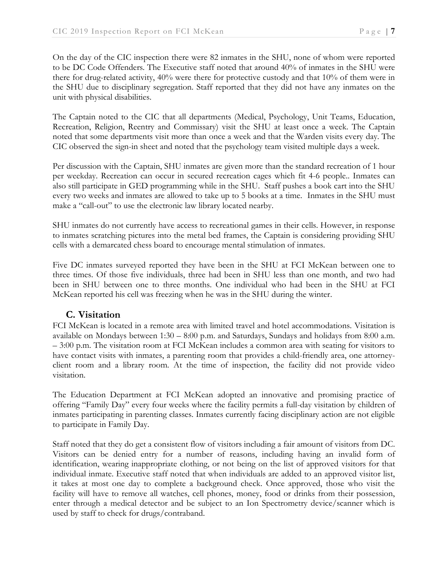On the day of the CIC inspection there were 82 inmates in the SHU, none of whom were reported to be DC Code Offenders. The Executive staff noted that around 40% of inmates in the SHU were there for drug-related activity, 40% were there for protective custody and that 10% of them were in the SHU due to disciplinary segregation. Staff reported that they did not have any inmates on the unit with physical disabilities.

The Captain noted to the CIC that all departments (Medical, Psychology, Unit Teams, Education, Recreation, Religion, Reentry and Commissary) visit the SHU at least once a week. The Captain noted that some departments visit more than once a week and that the Warden visits every day. The CIC observed the sign-in sheet and noted that the psychology team visited multiple days a week.

Per discussion with the Captain, SHU inmates are given more than the standard recreation of 1 hour per weekday. Recreation can occur in secured recreation cages which fit 4-6 people.. Inmates can also still participate in GED programming while in the SHU. Staff pushes a book cart into the SHU every two weeks and inmates are allowed to take up to 5 books at a time. Inmates in the SHU must make a "call-out" to use the electronic law library located nearby.

SHU inmates do not currently have access to recreational games in their cells. However, in response to inmates scratching pictures into the metal bed frames, the Captain is considering providing SHU cells with a demarcated chess board to encourage mental stimulation of inmates.

Five DC inmates surveyed reported they have been in the SHU at FCI McKean between one to three times. Of those five individuals, three had been in SHU less than one month, and two had been in SHU between one to three months. One individual who had been in the SHU at FCI McKean reported his cell was freezing when he was in the SHU during the winter.

### **C. Visitation**

FCI McKean is located in a remote area with limited travel and hotel accommodations. Visitation is available on Mondays between 1:30 – 8:00 p.m. and Saturdays, Sundays and holidays from 8:00 a.m. – 3:00 p.m. The visitation room at FCI McKean includes a common area with seating for visitors to have contact visits with inmates, a parenting room that provides a child-friendly area, one attorneyclient room and a library room. At the time of inspection, the facility did not provide video visitation.

The Education Department at FCI McKean adopted an innovative and promising practice of offering "Family Day" every four weeks where the facility permits a full-day visitation by children of inmates participating in parenting classes. Inmates currently facing disciplinary action are not eligible to participate in Family Day.

Staff noted that they do get a consistent flow of visitors including a fair amount of visitors from DC. Visitors can be denied entry for a number of reasons, including having an invalid form of identification, wearing inappropriate clothing, or not being on the list of approved visitors for that individual inmate. Executive staff noted that when individuals are added to an approved visitor list, it takes at most one day to complete a background check. Once approved, those who visit the facility will have to remove all watches, cell phones, money, food or drinks from their possession, enter through a medical detector and be subject to an Ion Spectrometry device/scanner which is used by staff to check for drugs/contraband.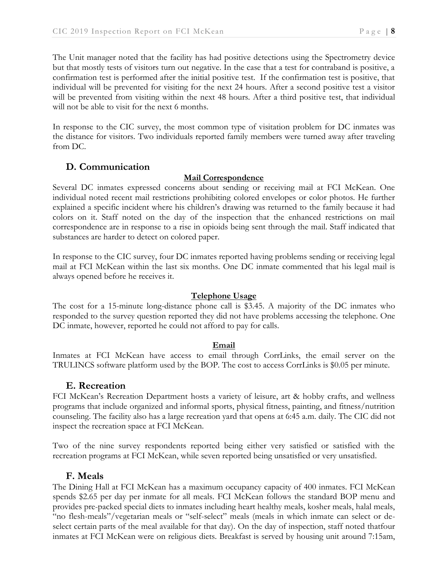The Unit manager noted that the facility has had positive detections using the Spectrometry device but that mostly tests of visitors turn out negative. In the case that a test for contraband is positive, a confirmation test is performed after the initial positive test. If the confirmation test is positive, that individual will be prevented for visiting for the next 24 hours. After a second positive test a visitor will be prevented from visiting within the next 48 hours. After a third positive test, that individual will not be able to visit for the next 6 months.

In response to the CIC survey, the most common type of visitation problem for DC inmates was the distance for visitors. Two individuals reported family members were turned away after traveling from DC.

### **D. Communication**

#### **Mail Correspondence**

Several DC inmates expressed concerns about sending or receiving mail at FCI McKean. One individual noted recent mail restrictions prohibiting colored envelopes or color photos. He further explained a specific incident where his children's drawing was returned to the family because it had colors on it. Staff noted on the day of the inspection that the enhanced restrictions on mail correspondence are in response to a rise in opioids being sent through the mail. Staff indicated that substances are harder to detect on colored paper.

In response to the CIC survey, four DC inmates reported having problems sending or receiving legal mail at FCI McKean within the last six months. One DC inmate commented that his legal mail is always opened before he receives it.

#### **Telephone Usage**

The cost for a 15-minute long-distance phone call is \$3.45. A majority of the DC inmates who responded to the survey question reported they did not have problems accessing the telephone. One DC inmate, however, reported he could not afford to pay for calls.

#### **Email**

Inmates at FCI McKean have access to email through CorrLinks, the email server on the TRULINCS software platform used by the BOP. The cost to access CorrLinks is \$0.05 per minute.

#### **E. Recreation**

FCI McKean's Recreation Department hosts a variety of leisure, art & hobby crafts, and wellness programs that include organized and informal sports, physical fitness, painting, and fitness/nutrition counseling. The facility also has a large recreation yard that opens at 6:45 a.m. daily. The CIC did not inspect the recreation space at FCI McKean.

Two of the nine survey respondents reported being either very satisfied or satisfied with the recreation programs at FCI McKean, while seven reported being unsatisfied or very unsatisfied.

#### **F. Meals**

The Dining Hall at FCI McKean has a maximum occupancy capacity of 400 inmates. FCI McKean spends \$2.65 per day per inmate for all meals. FCI McKean follows the standard BOP menu and provides pre-packed special diets to inmates including heart healthy meals, kosher meals, halal meals, "no flesh-meals"/vegetarian meals or "self-select" meals (meals in which inmate can select or deselect certain parts of the meal available for that day). On the day of inspection, staff noted thatfour inmates at FCI McKean were on religious diets. Breakfast is served by housing unit around 7:15am,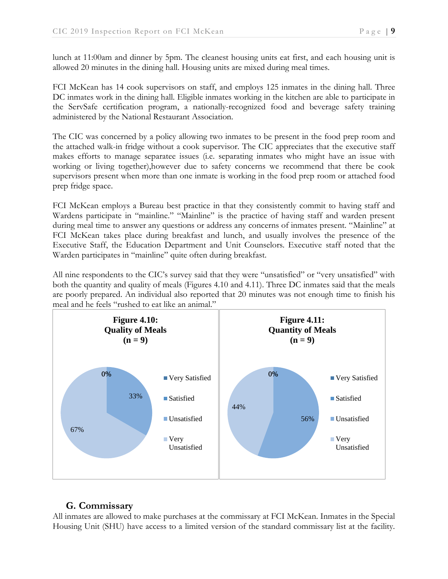lunch at 11:00am and dinner by 5pm. The cleanest housing units eat first, and each housing unit is allowed 20 minutes in the dining hall. Housing units are mixed during meal times.

FCI McKean has 14 cook supervisors on staff, and employs 125 inmates in the dining hall. Three DC inmates work in the dining hall. Eligible inmates working in the kitchen are able to participate in the ServSafe certification program, a nationally-recognized food and beverage safety training administered by the National Restaurant Association.

The CIC was concerned by a policy allowing two inmates to be present in the food prep room and the attached walk-in fridge without a cook supervisor. The CIC appreciates that the executive staff makes efforts to manage separatee issues (i.e. separating inmates who might have an issue with working or living together),however due to safety concerns we recommend that there be cook supervisors present when more than one inmate is working in the food prep room or attached food prep fridge space.

FCI McKean employs a Bureau best practice in that they consistently commit to having staff and Wardens participate in "mainline." "Mainline" is the practice of having staff and warden present during meal time to answer any questions or address any concerns of inmates present. "Mainline" at FCI McKean takes place during breakfast and lunch, and usually involves the presence of the Executive Staff, the Education Department and Unit Counselors. Executive staff noted that the Warden participates in "mainline" quite often during breakfast.

All nine respondents to the CIC's survey said that they were "unsatisfied" or "very unsatisfied" with both the quantity and quality of meals (Figures 4.10 and 4.11). Three DC inmates said that the meals are poorly prepared. An individual also reported that 20 minutes was not enough time to finish his meal and he feels "rushed to eat like an animal."



## **G. Commissary**

All inmates are allowed to make purchases at the commissary at FCI McKean. Inmates in the Special Housing Unit (SHU) have access to a limited version of the standard commissary list at the facility.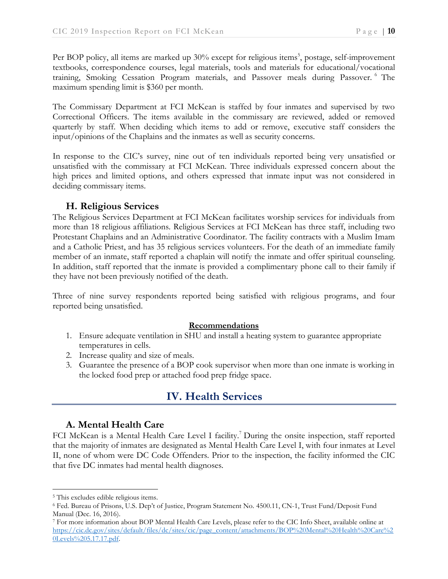Per BOP policy, all items are marked up 30% except for religious items<sup>5</sup>, postage, self-improvement textbooks, correspondence courses, legal materials, tools and materials for educational/vocational training, Smoking Cessation Program materials, and Passover meals during Passover. <sup>6</sup> The maximum spending limit is \$360 per month.

The Commissary Department at FCI McKean is staffed by four inmates and supervised by two Correctional Officers. The items available in the commissary are reviewed, added or removed quarterly by staff. When deciding which items to add or remove, executive staff considers the input/opinions of the Chaplains and the inmates as well as security concerns.

In response to the CIC's survey, nine out of ten individuals reported being very unsatisfied or unsatisfied with the commissary at FCI McKean. Three individuals expressed concern about the high prices and limited options, and others expressed that inmate input was not considered in deciding commissary items.

### **H. Religious Services**

The Religious Services Department at FCI McKean facilitates worship services for individuals from more than 18 religious affiliations. Religious Services at FCI McKean has three staff, including two Protestant Chaplains and an Administrative Coordinator. The facility contracts with a Muslim Imam and a Catholic Priest, and has 35 religious services volunteers. For the death of an immediate family member of an inmate, staff reported a chaplain will notify the inmate and offer spiritual counseling. In addition, staff reported that the inmate is provided a complimentary phone call to their family if they have not been previously notified of the death.

Three of nine survey respondents reported being satisfied with religious programs, and four reported being unsatisfied.

#### **Recommendations**

- 1. Ensure adequate ventilation in SHU and install a heating system to guarantee appropriate temperatures in cells.
- 2. Increase quality and size of meals.
- 3. Guarantee the presence of a BOP cook supervisor when more than one inmate is working in the locked food prep or attached food prep fridge space.

# **IV. Health Services**

#### **A. Mental Health Care**

FCI McKean is a Mental Health Care Level I facility.<sup>7</sup> During the onsite inspection, staff reported that the majority of inmates are designated as Mental Health Care Level I, with four inmates at Level II, none of whom were DC Code Offenders. Prior to the inspection, the facility informed the CIC that five DC inmates had mental health diagnoses.

 $\overline{a}$ 

<sup>5</sup> This excludes edible religious items.

<sup>6</sup> Fed. Bureau of Prisons, U.S. Dep't of Justice, Program Statement No. 4500.11, CN-1, Trust Fund/Deposit Fund Manual (Dec. 16, 2016).

<sup>7</sup> For more information about BOP Mental Health Care Levels, please refer to the CIC Info Sheet, available online at [https://cic.dc.gov/sites/default/files/dc/sites/cic/page\\_content/attachments/BOP%20Mental%20Health%20Care%2](https://cic.dc.gov/sites/default/files/dc/sites/cic/page_content/attachments/BOP%20Mental%20Health%20Care%20Levels%205.17.17.pdf) [0Levels%205.17.17.pdf.](https://cic.dc.gov/sites/default/files/dc/sites/cic/page_content/attachments/BOP%20Mental%20Health%20Care%20Levels%205.17.17.pdf)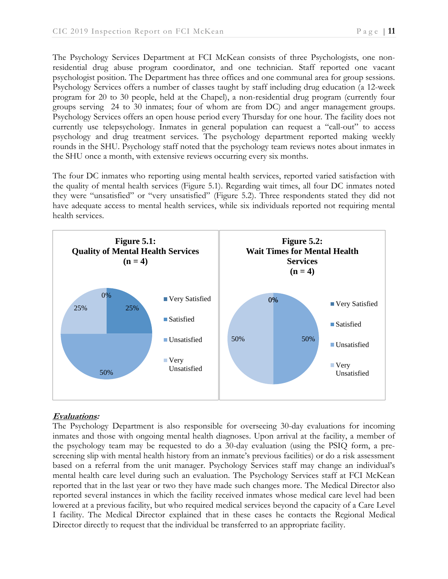The Psychology Services Department at FCI McKean consists of three Psychologists, one nonresidential drug abuse program coordinator, and one technician. Staff reported one vacant psychologist position. The Department has three offices and one communal area for group sessions. Psychology Services offers a number of classes taught by staff including drug education (a 12-week program for 20 to 30 people, held at the Chapel), a non-residential drug program (currently four groups serving 24 to 30 inmates; four of whom are from DC) and anger management groups. Psychology Services offers an open house period every Thursday for one hour. The facility does not currently use telepsychology. Inmates in general population can request a "call-out" to access psychology and drug treatment services. The psychology department reported making weekly rounds in the SHU. Psychology staff noted that the psychology team reviews notes about inmates in the SHU once a month, with extensive reviews occurring every six months.

The four DC inmates who reporting using mental health services, reported varied satisfaction with the quality of mental health services (Figure 5.1). Regarding wait times, all four DC inmates noted they were "unsatisfied" or "very unsatisfied" (Figure 5.2). Three respondents stated they did not have adequate access to mental health services, while six individuals reported not requiring mental health services.



#### **Evaluations:**

The Psychology Department is also responsible for overseeing 30-day evaluations for incoming inmates and those with ongoing mental health diagnoses. Upon arrival at the facility, a member of the psychology team may be requested to do a 30-day evaluation (using the PSIQ form, a prescreening slip with mental health history from an inmate's previous facilities) or do a risk assessment based on a referral from the unit manager. Psychology Services staff may change an individual's mental health care level during such an evaluation. The Psychology Services staff at FCI McKean reported that in the last year or two they have made such changes more. The Medical Director also reported several instances in which the facility received inmates whose medical care level had been lowered at a previous facility, but who required medical services beyond the capacity of a Care Level I facility. The Medical Director explained that in these cases he contacts the Regional Medical Director directly to request that the individual be transferred to an appropriate facility.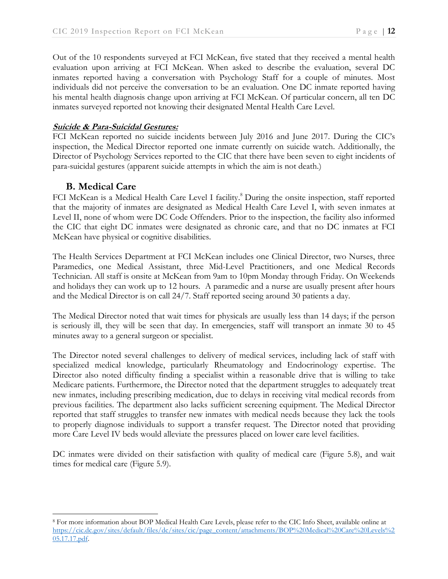Out of the 10 respondents surveyed at FCI McKean, five stated that they received a mental health evaluation upon arriving at FCI McKean. When asked to describe the evaluation, several DC inmates reported having a conversation with Psychology Staff for a couple of minutes. Most individuals did not perceive the conversation to be an evaluation. One DC inmate reported having his mental health diagnosis change upon arriving at FCI McKean. Of particular concern, all ten DC inmates surveyed reported not knowing their designated Mental Health Care Level.

#### **Suicide & Para-Suicidal Gestures:**

FCI McKean reported no suicide incidents between July 2016 and June 2017. During the CIC's inspection, the Medical Director reported one inmate currently on suicide watch. Additionally, the Director of Psychology Services reported to the CIC that there have been seven to eight incidents of para-suicidal gestures (apparent suicide attempts in which the aim is not death.)

### **B. Medical Care**

FCI McKean is a Medical Health Care Level I facility.<sup>8</sup> During the onsite inspection, staff reported that the majority of inmates are designated as Medical Health Care Level I, with seven inmates at Level II, none of whom were DC Code Offenders. Prior to the inspection, the facility also informed the CIC that eight DC inmates were designated as chronic care, and that no DC inmates at FCI McKean have physical or cognitive disabilities.

The Health Services Department at FCI McKean includes one Clinical Director, two Nurses, three Paramedics, one Medical Assistant, three Mid-Level Practitioners, and one Medical Records Technician. All staff is onsite at McKean from 9am to 10pm Monday through Friday. On Weekends and holidays they can work up to 12 hours. A paramedic and a nurse are usually present after hours and the Medical Director is on call 24/7. Staff reported seeing around 30 patients a day.

The Medical Director noted that wait times for physicals are usually less than 14 days; if the person is seriously ill, they will be seen that day. In emergencies, staff will transport an inmate 30 to 45 minutes away to a general surgeon or specialist.

The Director noted several challenges to delivery of medical services, including lack of staff with specialized medical knowledge, particularly Rheumatology and Endocrinology expertise. The Director also noted difficulty finding a specialist within a reasonable drive that is willing to take Medicare patients. Furthermore, the Director noted that the department struggles to adequately treat new inmates, including prescribing medication, due to delays in receiving vital medical records from previous facilities. The department also lacks sufficient screening equipment. The Medical Director reported that staff struggles to transfer new inmates with medical needs because they lack the tools to properly diagnose individuals to support a transfer request. The Director noted that providing more Care Level IV beds would alleviate the pressures placed on lower care level facilities.

DC inmates were divided on their satisfaction with quality of medical care (Figure 5.8), and wait times for medical care (Figure 5.9).

 $\overline{a}$ <sup>8</sup> For more information about BOP Medical Health Care Levels, please refer to the CIC Info Sheet, available online at [https://cic.dc.gov/sites/default/files/dc/sites/cic/page\\_content/attachments/BOP%20Medical%20Care%20Levels%2](https://cic.dc.gov/sites/default/files/dc/sites/cic/page_content/attachments/BOP%20Medical%20Care%20Levels%205.17.17.pdf) [05.17.17.pdf.](https://cic.dc.gov/sites/default/files/dc/sites/cic/page_content/attachments/BOP%20Medical%20Care%20Levels%205.17.17.pdf)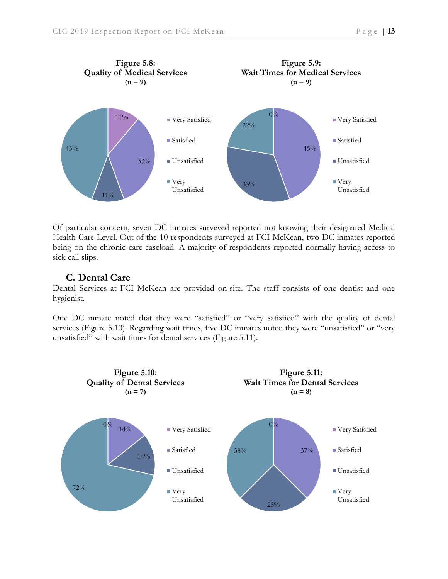



Of particular concern, seven DC inmates surveyed reported not knowing their designated Medical Health Care Level. Out of the 10 respondents surveyed at FCI McKean, two DC inmates reported being on the chronic care caseload. A majority of respondents reported normally having access to sick call slips.

### **C. Dental Care**

Dental Services at FCI McKean are provided on-site. The staff consists of one dentist and one hygienist.

One DC inmate noted that they were "satisfied" or "very satisfied" with the quality of dental services (Figure 5.10). Regarding wait times, five DC inmates noted they were "unsatisfied" or "very unsatisfied" with wait times for dental services (Figure 5.11).

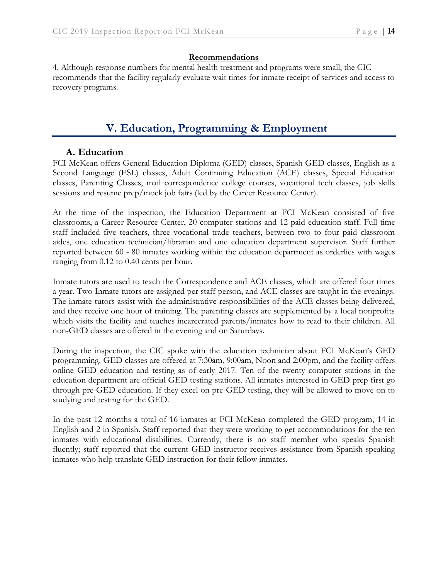#### **Recommendations**

4. Although response numbers for mental health treatment and programs were small, the CIC recommends that the facility regularly evaluate wait times for inmate receipt of services and access to recovery programs.

# **V. Education, Programming & Employment**

### **A. Education**

FCI McKean offers General Education Diploma (GED) classes, Spanish GED classes, English as a Second Language (ESL) classes, Adult Continuing Education (ACE) classes, Special Education classes, Parenting Classes, mail correspondence college courses, vocational tech classes, job skills sessions and resume prep/mock job fairs (led by the Career Resource Center).

At the time of the inspection, the Education Department at FCI McKean consisted of five classrooms, a Career Resource Center, 20 computer stations and 12 paid education staff. Full-time staff included five teachers, three vocational trade teachers, between two to four paid classroom aides, one education technician/librarian and one education department supervisor. Staff further reported between 60 - 80 inmates working within the education department as orderlies with wages ranging from 0.12 to 0.40 cents per hour.

Inmate tutors are used to teach the Correspondence and ACE classes, which are offered four times a year. Two Inmate tutors are assigned per staff person, and ACE classes are taught in the evenings. The inmate tutors assist with the administrative responsibilities of the ACE classes being delivered, and they receive one hour of training. The parenting classes are supplemented by a local nonprofits which visits the facility and teaches incarcerated parents/inmates how to read to their children. All non-GED classes are offered in the evening and on Saturdays.

During the inspection, the CIC spoke with the education technician about FCI McKean's GED programming. GED classes are offered at 7:30am, 9:00am, Noon and 2:00pm, and the facility offers online GED education and testing as of early 2017. Ten of the twenty computer stations in the education department are official GED testing stations. All inmates interested in GED prep first go through pre-GED education. If they excel on pre-GED testing, they will be allowed to move on to studying and testing for the GED.

In the past 12 months a total of 16 inmates at FCI McKean completed the GED program, 14 in English and 2 in Spanish. Staff reported that they were working to get accommodations for the ten inmates with educational disabilities. Currently, there is no staff member who speaks Spanish fluently; staff reported that the current GED instructor receives assistance from Spanish-speaking inmates who help translate GED instruction for their fellow inmates.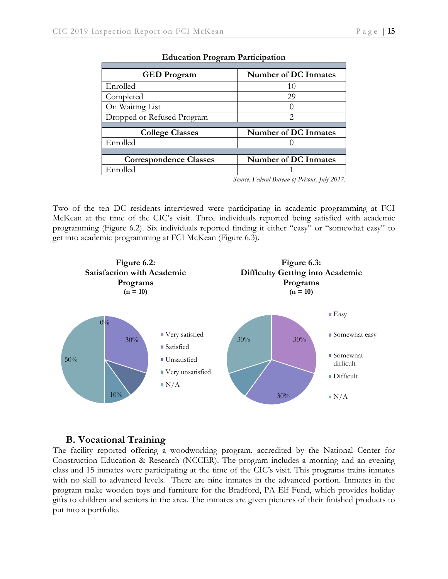| <b>GED</b> Program            | Number of DC Inmates        |  |  |  |
|-------------------------------|-----------------------------|--|--|--|
| Enrolled                      | 10                          |  |  |  |
| Completed                     | 29                          |  |  |  |
| On Waiting List               |                             |  |  |  |
| Dropped or Refused Program    | 2                           |  |  |  |
|                               |                             |  |  |  |
| <b>College Classes</b>        | Number of DC Inmates        |  |  |  |
| Enrolled                      |                             |  |  |  |
|                               |                             |  |  |  |
| <b>Correspondence Classes</b> | <b>Number of DC Inmates</b> |  |  |  |
| Enrolled                      |                             |  |  |  |

#### **Education Program Participation**

*Source: Federal Bureau of Prisons. July 2017.*

Two of the ten DC residents interviewed were participating in academic programming at FCI McKean at the time of the CIC's visit. Three individuals reported being satisfied with academic programming (Figure 6.2). Six individuals reported finding it either "easy" or "somewhat easy" to get into academic programming at FCI McKean (Figure 6.3).



#### **B. Vocational Training**

The facility reported offering a woodworking program, accredited by the National Center for Construction Education & Research (NCCER). The program includes a morning and an evening class and 15 inmates were participating at the time of the CIC's visit. This programs trains inmates with no skill to advanced levels. There are nine inmates in the advanced portion. Inmates in the program make wooden toys and furniture for the Bradford, PA Elf Fund, which provides holiday gifts to children and seniors in the area. The inmates are given pictures of their finished products to put into a portfolio.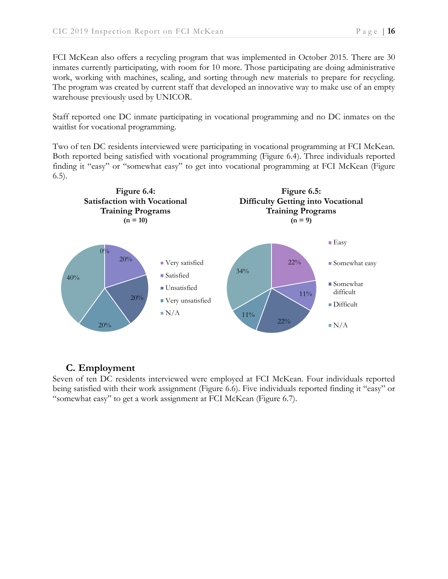FCI McKean also offers a recycling program that was implemented in October 2015. There are 30 inmates currently participating, with room for 10 more. Those participating are doing administrative work, working with machines, scaling, and sorting through new materials to prepare for recycling. The program was created by current staff that developed an innovative way to make use of an empty warehouse previously used by UNICOR.

Staff reported one DC inmate participating in vocational programming and no DC inmates on the waitlist for vocational programming.

Two of ten DC residents interviewed were participating in vocational programming at FCI McKean. Both reported being satisfied with vocational programming (Figure 6.4). Three individuals reported finding it "easy" or "somewhat easy" to get into vocational programming at FCI McKean (Figure 6.5).



## **C. Employment**

Seven of ten DC residents interviewed were employed at FCI McKean. Four individuals reported being satisfied with their work assignment (Figure 6.6). Five individuals reported finding it "easy" or "somewhat easy" to get a work assignment at FCI McKean (Figure 6.7).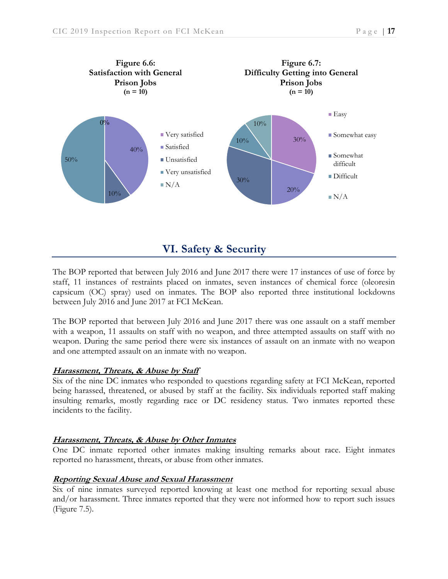

# **VI. Safety & Security**

The BOP reported that between July 2016 and June 2017 there were 17 instances of use of force by staff, 11 instances of restraints placed on inmates, seven instances of chemical force (oleoresin capsicum (OC) spray) used on inmates. The BOP also reported three institutional lockdowns between July 2016 and June 2017 at FCI McKean.

The BOP reported that between July 2016 and June 2017 there was one assault on a staff member with a weapon, 11 assaults on staff with no weapon, and three attempted assaults on staff with no weapon. During the same period there were six instances of assault on an inmate with no weapon and one attempted assault on an inmate with no weapon.

#### **Harassment, Threats, & Abuse by Staff**

Six of the nine DC inmates who responded to questions regarding safety at FCI McKean, reported being harassed, threatened, or abused by staff at the facility. Six individuals reported staff making insulting remarks, mostly regarding race or DC residency status. Two inmates reported these incidents to the facility.

#### **Harassment, Threats, & Abuse by Other Inmates**

One DC inmate reported other inmates making insulting remarks about race. Eight inmates reported no harassment, threats, or abuse from other inmates.

#### **Reporting Sexual Abuse and Sexual Harassment**

Six of nine inmates surveyed reported knowing at least one method for reporting sexual abuse and/or harassment. Three inmates reported that they were not informed how to report such issues (Figure 7.5).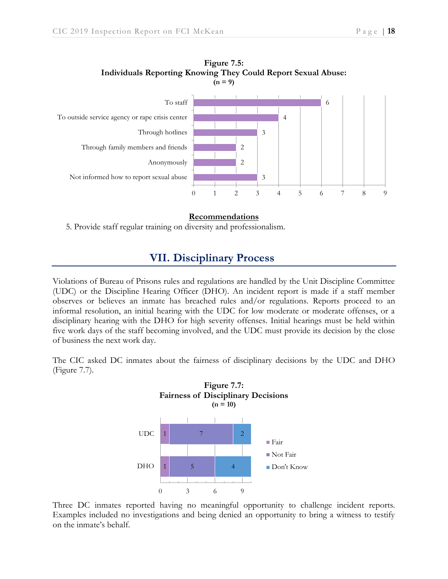



#### **Recommendations**

5. Provide staff regular training on diversity and professionalism.

### **VII. Disciplinary Process**

Violations of Bureau of Prisons rules and regulations are handled by the Unit Discipline Committee (UDC) or the Discipline Hearing Officer (DHO). An incident report is made if a staff member observes or believes an inmate has breached rules and/or regulations. Reports proceed to an informal resolution, an initial hearing with the UDC for low moderate or moderate offenses, or a disciplinary hearing with the DHO for high severity offenses. Initial hearings must be held within five work days of the staff becoming involved, and the UDC must provide its decision by the close of business the next work day.

The CIC asked DC inmates about the fairness of disciplinary decisions by the UDC and DHO (Figure 7.7).



Three DC inmates reported having no meaningful opportunity to challenge incident reports. Examples included no investigations and being denied an opportunity to bring a witness to testify on the inmate's behalf.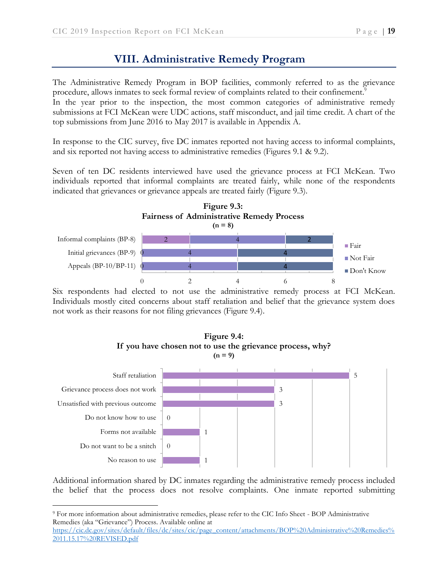# **VIII. Administrative Remedy Program**

The Administrative Remedy Program in BOP facilities, commonly referred to as the grievance procedure, allows inmates to seek formal review of complaints related to their confinement.<sup>9</sup>

In the year prior to the inspection, the most common categories of administrative remedy submissions at FCI McKean were UDC actions, staff misconduct, and jail time credit. A chart of the top submissions from June 2016 to May 2017 is available in Appendix A.

In response to the CIC survey, five DC inmates reported not having access to informal complaints, and six reported not having access to administrative remedies (Figures 9.1 & 9.2).

Seven of ten DC residents interviewed have used the grievance process at FCI McKean. Two individuals reported that informal complaints are treated fairly, while none of the respondents indicated that grievances or grievance appeals are treated fairly (Figure 9.3).



Six respondents had elected to not use the administrative remedy process at FCI McKean. Individuals mostly cited concerns about staff retaliation and belief that the grievance system does not work as their reasons for not filing grievances (Figure 9.4).



Additional information shared by DC inmates regarding the administrative remedy process included the belief that the process does not resolve complaints. One inmate reported submitting

 $\overline{a}$ 

<sup>9</sup> For more information about administrative remedies, please refer to the CIC Info Sheet - BOP Administrative Remedies (aka "Grievance") Process. Available online at

[https://cic.dc.gov/sites/default/files/dc/sites/cic/page\\_content/attachments/BOP%20Administrative%20Remedies%](https://cic.dc.gov/sites/default/files/dc/sites/cic/page_content/attachments/BOP%20Administrative%20Remedies%2011.15.17%20REVISED.pdf) [2011.15.17%20REVISED.pdf](https://cic.dc.gov/sites/default/files/dc/sites/cic/page_content/attachments/BOP%20Administrative%20Remedies%2011.15.17%20REVISED.pdf)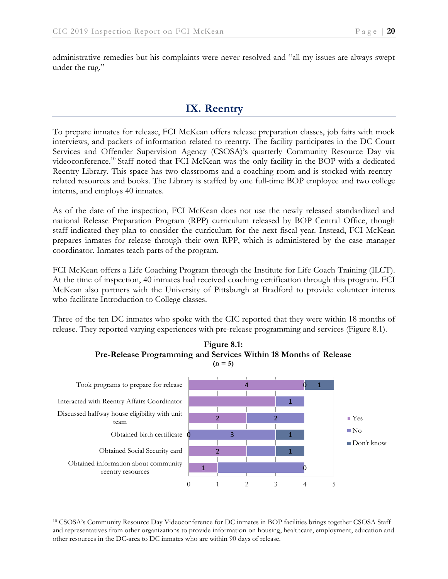administrative remedies but his complaints were never resolved and "all my issues are always swept under the rug."

# **IX. Reentry**

To prepare inmates for release, FCI McKean offers release preparation classes, job fairs with mock interviews, and packets of information related to reentry. The facility participates in the DC Court Services and Offender Supervision Agency (CSOSA)'s quarterly Community Resource Day via videoconference.<sup>10</sup> Staff noted that FCI McKean was the only facility in the BOP with a dedicated Reentry Library. This space has two classrooms and a coaching room and is stocked with reentryrelated resources and books. The Library is staffed by one full-time BOP employee and two college interns, and employs 40 inmates.

As of the date of the inspection, FCI McKean does not use the newly released standardized and national Release Preparation Program (RPP) curriculum released by BOP Central Office, though staff indicated they plan to consider the curriculum for the next fiscal year. Instead, FCI McKean prepares inmates for release through their own RPP, which is administered by the case manager coordinator. Inmates teach parts of the program.

FCI McKean offers a Life Coaching Program through the Institute for Life Coach Training (ILCT). At the time of inspection, 40 inmates had received coaching certification through this program. FCI McKean also partners with the University of Pittsburgh at Bradford to provide volunteer interns who facilitate Introduction to College classes.

Three of the ten DC inmates who spoke with the CIC reported that they were within 18 months of release. They reported varying experiences with pre-release programming and services (Figure 8.1).





 $\overline{a}$ <sup>10</sup> CSOSA's Community Resource Day Videoconference for DC inmates in BOP facilities brings together CSOSA Staff and representatives from other organizations to provide information on housing, healthcare, employment, education and other resources in the DC-area to DC inmates who are within 90 days of release.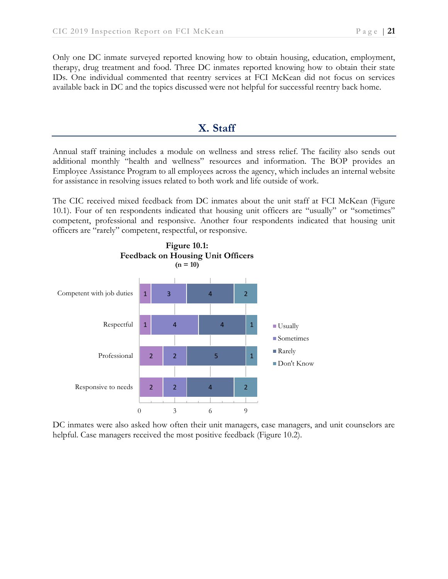Only one DC inmate surveyed reported knowing how to obtain housing, education, employment, therapy, drug treatment and food. Three DC inmates reported knowing how to obtain their state IDs. One individual commented that reentry services at FCI McKean did not focus on services available back in DC and the topics discussed were not helpful for successful reentry back home.

# **X. Staff**

Annual staff training includes a module on wellness and stress relief. The facility also sends out additional monthly "health and wellness" resources and information. The BOP provides an Employee Assistance Program to all employees across the agency, which includes an internal website for assistance in resolving issues related to both work and life outside of work.

The CIC received mixed feedback from DC inmates about the unit staff at FCI McKean (Figure 10.1). Four of ten respondents indicated that housing unit officers are "usually" or "sometimes" competent, professional and responsive. Another four respondents indicated that housing unit officers are "rarely" competent, respectful, or responsive.



DC inmates were also asked how often their unit managers, case managers, and unit counselors are helpful. Case managers received the most positive feedback (Figure 10.2).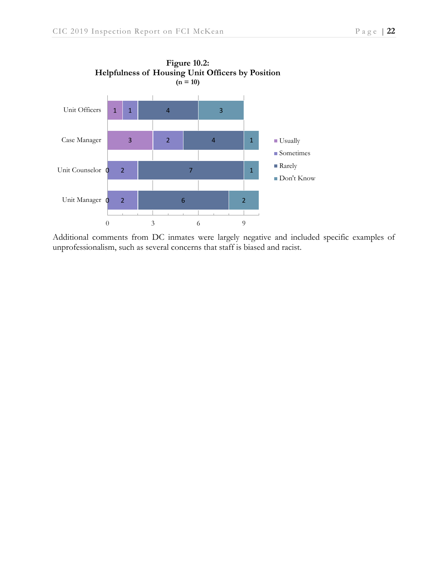



Additional comments from DC inmates were largely negative and included specific examples of unprofessionalism, such as several concerns that staff is biased and racist.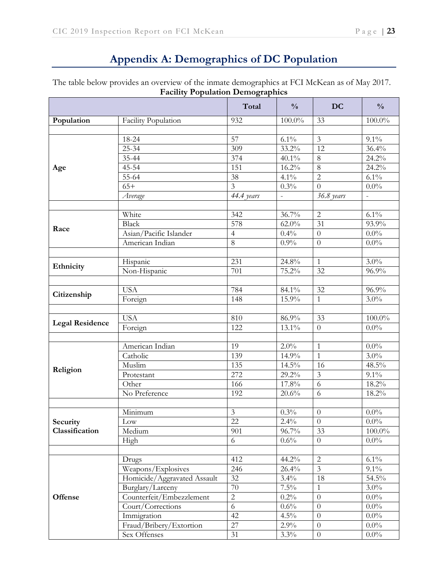# **Appendix A: Demographics of DC Population**

The table below provides an overview of the inmate demographics at FCI McKean as of May 2017. **Facility Population Demographics**

|                        |                             | Total                   | $\frac{0}{0}$            | <b>DC</b>        | $\frac{0}{0}$            |
|------------------------|-----------------------------|-------------------------|--------------------------|------------------|--------------------------|
| Population             | Facility Population         | 932                     | $100.0\%$                | 33               | $100.0\%$                |
|                        |                             |                         |                          |                  |                          |
|                        | 18-24                       | 57                      | 6.1%                     | $\mathfrak{Z}$   | $9.1\%$                  |
|                        | $25 - 34$                   | 309                     | 33.2%                    | $\overline{12}$  | 36.4%                    |
|                        | 35-44                       | 374                     | $40.1\%$                 | 8                | 24.2%                    |
| Age                    | 45-54                       | 151                     | 16.2%                    | 8                | 24.2%                    |
|                        | 55-64                       | 38                      | $4.1\%$                  | $\overline{c}$   | 6.1%                     |
|                        | $65+$                       | $\overline{\mathbf{3}}$ | 0.3%                     | $\overline{0}$   | $0.0\%$                  |
|                        | Average                     | 44.4 years              | $\overline{\phantom{a}}$ | 36.8 years       | $\overline{\phantom{a}}$ |
|                        |                             |                         |                          |                  |                          |
|                        | White                       | 342                     | 36.7%                    | $\overline{2}$   | 6.1%                     |
|                        | <b>Black</b>                | 578                     | $62.0\%$                 | 31               | 93.9%                    |
| Race                   | Asian/Pacific Islander      | $\overline{4}$          | 0.4%                     | $\overline{0}$   | $0.0\%$                  |
|                        | American Indian             | 8                       | 0.9%                     | $\theta$         | $0.0\%$                  |
|                        |                             |                         |                          |                  |                          |
| Ethnicity              | Hispanic                    | 231                     | 24.8%                    | 1                | $3.0\%$                  |
|                        | Non-Hispanic                | 701                     | 75.2%                    | 32               | 96.9%                    |
|                        |                             |                         |                          |                  |                          |
| Citizenship            | <b>USA</b>                  | 784                     | 84.1%                    | 32               | 96.9%                    |
|                        | Foreign                     | 148                     | 15.9%                    | $\mathbf{1}$     | $3.0\%$                  |
|                        |                             |                         |                          |                  |                          |
| <b>Legal Residence</b> | <b>USA</b>                  | 810                     | 86.9%                    | 33               | $100.0\%$                |
|                        | Foreign                     | 122                     | 13.1%                    | $\overline{0}$   | $0.0\%$                  |
|                        |                             |                         |                          |                  |                          |
|                        | American Indian             | 19                      | 2.0%                     | $\mathbf{1}$     | $0.0\%$                  |
|                        | Catholic                    | 139                     | 14.9%                    | $\mathbf{1}$     | $3.0\%$                  |
| Religion               | Muslim                      | 135                     | 14.5%                    | 16               | 48.5%                    |
|                        | Protestant                  | 272                     | 29.2%                    | 3                | $9.1\%$                  |
|                        | Other                       | 166                     | 17.8%                    | 6                | $18.2\%$                 |
|                        | No Preference               | 192                     | 20.6%                    | 6                | 18.2%                    |
|                        |                             |                         |                          |                  |                          |
|                        | Minimum                     | $\mathfrak{Z}$          | 0.3%                     | $\theta$         | $0.0\%$                  |
| Security               | Low                         | 22                      | 2.4%                     | $\boldsymbol{0}$ | $0.0\%$                  |
| Classification         | Medium                      | 901                     | 96.7%                    | 33               | $100.0\%$                |
|                        | High                        | 6                       | 0.6%                     | $\Omega$         | $0.0\%$                  |
|                        |                             |                         |                          |                  |                          |
|                        | Drugs                       | 412                     | 44.2%                    | $\overline{2}$   | $6.1\%$                  |
|                        | Weapons/Explosives          | 246                     | 26.4%                    | $\mathfrak{Z}$   | $9.1\%$                  |
|                        | Homicide/Aggravated Assault | 32                      | 3.4%                     | 18               | 54.5%                    |
|                        | Burglary/Larceny            | 70                      | $7.5\%$                  | $\mathbf{1}$     | $3.0\%$                  |
| <b>Offense</b>         | Counterfeit/Embezzlement    | $\overline{2}$          | 0.2%                     | $\theta$         | $0.0\%$                  |
|                        | Court/Corrections           | 6                       | 0.6%                     | $\theta$         | $0.0\%$                  |
|                        | Immigration                 | 42                      | $4.5\%$                  | $\theta$         | $0.0\%$                  |
|                        | Fraud/Bribery/Extortion     | 27                      | $2.9\%$                  | $\overline{0}$   | $0.0\%$                  |
|                        | Sex Offenses                | 31                      | 3.3%                     | $\theta$         | $0.0\%$                  |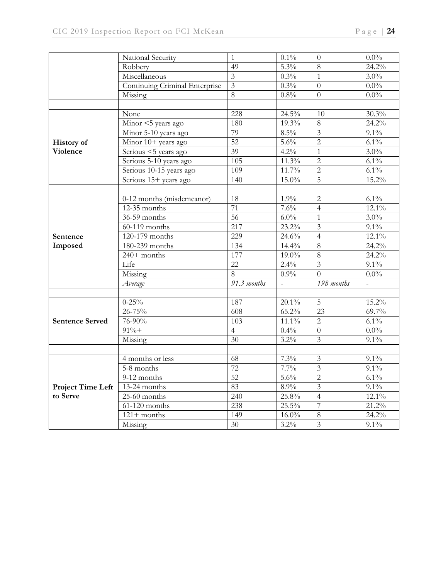|                          | National Security              | $\mathbf{1}$     | $0.1\%$  | $\theta$                | $0.0\%$                  |
|--------------------------|--------------------------------|------------------|----------|-------------------------|--------------------------|
|                          | Robbery                        | 49               | $5.3\%$  | $\overline{8}$          | 24.2%                    |
|                          | Miscellaneous                  | $\overline{3}$   | 0.3%     | $\mathbf{1}$            | $3.0\%$                  |
|                          | Continuing Criminal Enterprise | $\overline{3}$   | 0.3%     | $\Omega$                | $0.0\%$                  |
|                          | Missing                        | 8                | 0.8%     | $\Omega$                | $0.0\%$                  |
|                          |                                |                  |          |                         |                          |
|                          | None                           | 228              | 24.5%    | 10                      | 30.3%                    |
|                          | Minor <5 years ago             | 180              | 19.3%    | $8\,$                   | 24.2%                    |
|                          | Minor 5-10 years ago           | 79               | $8.5\%$  | $\overline{\mathbf{3}}$ | $9.1\%$                  |
| <b>History of</b>        | Minor 10+ years ago            | 52               | 5.6%     | $\overline{2}$          | $6.1\%$                  |
| <b>Violence</b>          | Serious <5 years ago           | 39               | 4.2%     | $\mathbf{1}$            | $3.0\%$                  |
|                          | Serious 5-10 years ago         | $\overline{105}$ | 11.3%    | $\overline{2}$          | $6.1\%$                  |
|                          | Serious 10-15 years ago        | 109              | 11.7%    | $\overline{2}$          | $6.1\%$                  |
|                          | Serious 15+ years ago          | 140              | 15.0%    | $\overline{5}$          | 15.2%                    |
|                          |                                |                  |          |                         |                          |
|                          | 0-12 months (misdemeanor)      | 18               | 1.9%     | $\overline{2}$          | $6.1\%$                  |
|                          | $12-35$ months                 | 71               | 7.6%     | $\overline{4}$          | $12.1\%$                 |
|                          | 36-59 months                   | 56               | $6.0\%$  | $\mathbf{1}$            | $3.0\%$                  |
|                          | 60-119 months                  | 217              | 23.2%    | $\overline{3}$          | $9.1\%$                  |
| Sentence                 | 120-179 months                 | 229              | 24.6%    | $\overline{4}$          | $12.1\%$                 |
| Imposed                  | 180-239 months                 | 134              | 14.4%    | 8                       | 24.2%                    |
|                          | $240+$ months                  | 177              | 19.0%    | 8                       | 24.2%                    |
|                          | Life                           | 22               | 2.4%     | $\overline{3}$          | $9.1\%$                  |
|                          | Missing                        | 8                | 0.9%     | $\overline{0}$          | $0.0\%$                  |
|                          | Average                        | 91.3 months      |          | $\overline{198}$ months | $\overline{\phantom{a}}$ |
|                          |                                |                  |          |                         |                          |
|                          | $0 - 25\%$                     | 187              | 20.1%    | $\overline{5}$          | $15.2\%$                 |
|                          | $26 - 75%$                     | 608              | 65.2%    | 23                      | 69.7%                    |
| <b>Sentence Served</b>   | 76-90%                         | 103              | $11.1\%$ | $\overline{2}$          | $6.1\%$                  |
|                          | $91% +$                        | $\overline{4}$   | 0.4%     | $\theta$                | $0.0\%$                  |
|                          | Missing                        | 30               | 3.2%     | $\overline{3}$          | $9.1\%$                  |
|                          |                                |                  |          |                         |                          |
|                          | 4 months or less               | 68               | 7.3%     | 3                       | $9.1\%$                  |
|                          | 5-8 months                     | $\overline{72}$  | 7.7%     | $\overline{\mathbf{3}}$ | $9.1\%$                  |
|                          | 9-12 months                    | $\overline{52}$  | 5.6%     | $\overline{2}$          | $6.1\%$                  |
| <b>Project Time Left</b> | 13-24 months                   | 83               | 8.9%     | 3                       | $9.1\%$                  |
| to Serve                 | 25-60 months                   | 240              | 25.8%    | $\overline{4}$          | 12.1%                    |
|                          | $61-120$ months                | 238              | 25.5%    | $\overline{7}$          | 21.2%                    |
|                          | $121 +$ months                 | 149              | $16.0\%$ | 8                       | 24.2%                    |
|                          | Missing                        | 30               | $3.2\%$  | $\overline{\mathbf{3}}$ | $9.1\%$                  |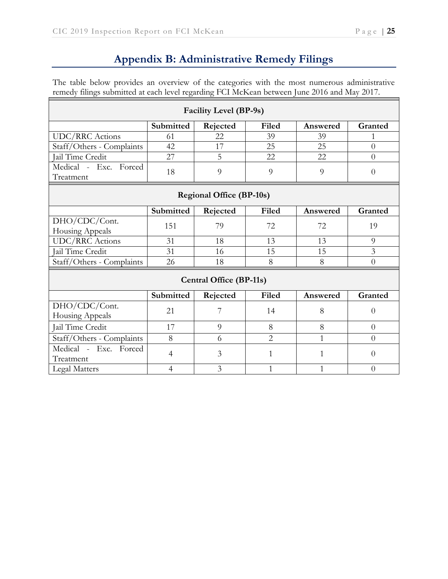# **Appendix B: Administrative Remedy Filings**

The table below provides an overview of the categories with the most numerous administrative remedy filings submitted at each level regarding FCI McKean between June 2016 and May 2017. ٦

| <b>Facility Level (BP-9s)</b>      |                |          |                |              |                |  |  |
|------------------------------------|----------------|----------|----------------|--------------|----------------|--|--|
|                                    | Submitted      | Rejected | Filed          | Answered     | Granted        |  |  |
| <b>UDC/RRC</b> Actions             | 61             | 22       | 39             | 39           | 1              |  |  |
| Staff/Others - Complaints          | 42             | 17       | 25             | 25           | $\overline{0}$ |  |  |
| Jail Time Credit                   | 27             | 5        | 22             | 22           | $\theta$       |  |  |
| Medical - Exc. Forced<br>Treatment | 18             | 9        | 9              | 9            | $\overline{0}$ |  |  |
| <b>Regional Office (BP-10s)</b>    |                |          |                |              |                |  |  |
|                                    | Submitted      | Rejected | Filed          | Answered     | Granted        |  |  |
| DHO/CDC/Cont.<br>Housing Appeals   | 151            | 79       | 72             | 72           | 19             |  |  |
| <b>UDC/RRC</b> Actions             | 31             | 18       | 13             | 13           | 9              |  |  |
| Jail Time Credit                   | 31             | 16       | 15             | 15           | $\overline{3}$ |  |  |
| Staff/Others - Complaints          | 26             | 18       | 8              | 8            | $\theta$       |  |  |
| <b>Central Office (BP-11s)</b>     |                |          |                |              |                |  |  |
|                                    | Submitted      | Rejected | Filed          | Answered     | Granted        |  |  |
| DHO/CDC/Cont.<br>Housing Appeals   | 21             | 7        | 14             | 8            | $\theta$       |  |  |
| Jail Time Credit                   | 17             | 9        | 8              | 8            | $\theta$       |  |  |
| Staff/Others - Complaints          | 8              | 6        | $\overline{2}$ | $\mathbf{1}$ | $\theta$       |  |  |
| Medical - Exc. Forced<br>Treatment | $\overline{4}$ | 3        | 1              | $\mathbf{1}$ | $\overline{0}$ |  |  |
| Legal Matters                      | $\overline{4}$ | 3        | 1              | $\mathbf{1}$ | $\overline{0}$ |  |  |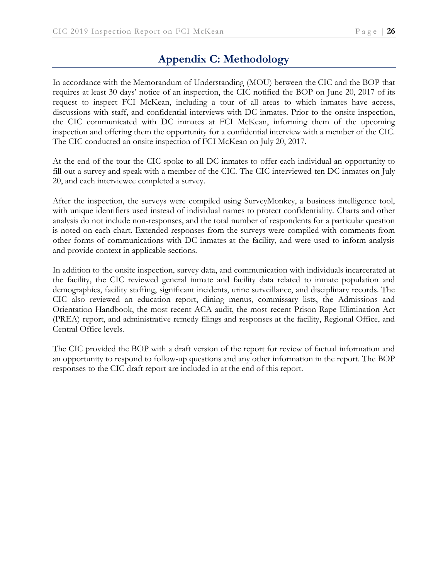# **Appendix C: Methodology**

In accordance with the Memorandum of Understanding (MOU) between the CIC and the BOP that requires at least 30 days' notice of an inspection, the CIC notified the BOP on June 20, 2017 of its request to inspect FCI McKean, including a tour of all areas to which inmates have access, discussions with staff, and confidential interviews with DC inmates. Prior to the onsite inspection, the CIC communicated with DC inmates at FCI McKean, informing them of the upcoming inspection and offering them the opportunity for a confidential interview with a member of the CIC. The CIC conducted an onsite inspection of FCI McKean on July 20, 2017.

At the end of the tour the CIC spoke to all DC inmates to offer each individual an opportunity to fill out a survey and speak with a member of the CIC. The CIC interviewed ten DC inmates on July 20, and each interviewee completed a survey.

After the inspection, the surveys were compiled using SurveyMonkey, a business intelligence tool, with unique identifiers used instead of individual names to protect confidentiality. Charts and other analysis do not include non-responses, and the total number of respondents for a particular question is noted on each chart. Extended responses from the surveys were compiled with comments from other forms of communications with DC inmates at the facility, and were used to inform analysis and provide context in applicable sections.

In addition to the onsite inspection, survey data, and communication with individuals incarcerated at the facility, the CIC reviewed general inmate and facility data related to inmate population and demographics, facility staffing, significant incidents, urine surveillance, and disciplinary records. The CIC also reviewed an education report, dining menus, commissary lists, the Admissions and Orientation Handbook, the most recent ACA audit, the most recent Prison Rape Elimination Act (PREA) report, and administrative remedy filings and responses at the facility, Regional Office, and Central Office levels.

The CIC provided the BOP with a draft version of the report for review of factual information and an opportunity to respond to follow-up questions and any other information in the report. The BOP responses to the CIC draft report are included in at the end of this report.